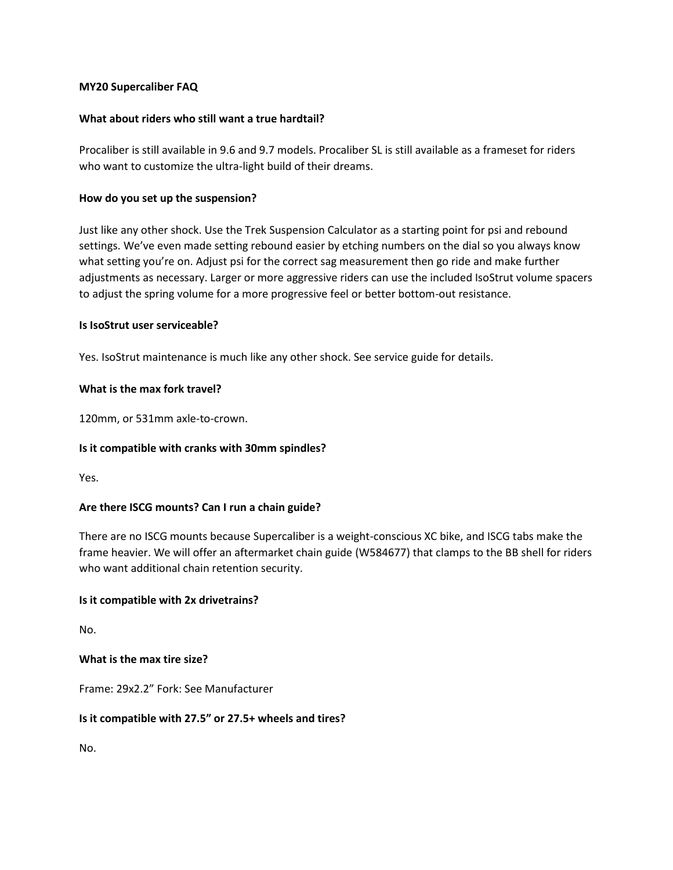#### **MY20 Supercaliber FAQ**

## **What about riders who still want a true hardtail?**

Procaliber is still available in 9.6 and 9.7 models. Procaliber SL is still available as a frameset for riders who want to customize the ultra-light build of their dreams.

## **How do you set up the suspension?**

Just like any other shock. Use the Trek Suspension Calculator as a starting point for psi and rebound settings. We've even made setting rebound easier by etching numbers on the dial so you always know what setting you're on. Adjust psi for the correct sag measurement then go ride and make further adjustments as necessary. Larger or more aggressive riders can use the included IsoStrut volume spacers to adjust the spring volume for a more progressive feel or better bottom-out resistance.

# **Is IsoStrut user serviceable?**

Yes. IsoStrut maintenance is much like any other shock. See service guide for details.

# **What is the max fork travel?**

120mm, or 531mm axle-to-crown.

#### **Is it compatible with cranks with 30mm spindles?**

Yes.

# **Are there ISCG mounts? Can I run a chain guide?**

There are no ISCG mounts because Supercaliber is a weight-conscious XC bike, and ISCG tabs make the frame heavier. We will offer an aftermarket chain guide (W584677) that clamps to the BB shell for riders who want additional chain retention security.

#### **Is it compatible with 2x drivetrains?**

No.

#### **What is the max tire size?**

Frame: 29x2.2" Fork: See Manufacturer

#### **Is it compatible with 27.5" or 27.5+ wheels and tires?**

No.